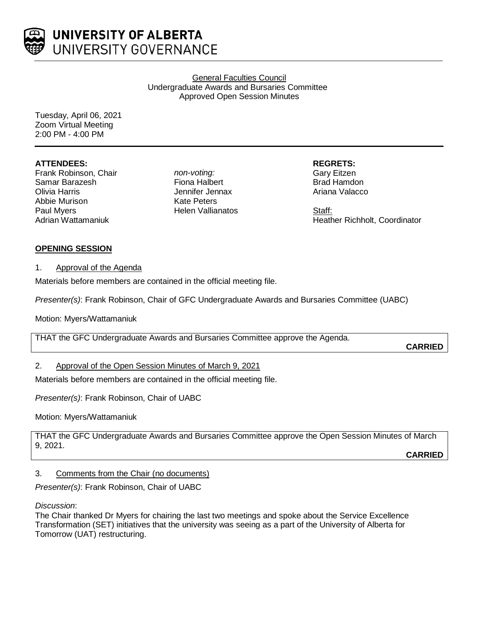

### General Faculties Council Undergraduate Awards and Bursaries Committee Approved Open Session Minutes

Tuesday, April 06, 2021 Zoom Virtual Meeting 2:00 PM - 4:00 PM

## **ATTENDEES:**

Frank Robinson, Chair Samar Barazesh Olivia Harris Abbie Murison Paul Myers Adrian Wattamaniuk

*non-voting:* Fiona Halbert Jennifer Jennax Kate Peters Helen Vallianatos **REGRETS:**

Gary Eitzen Brad Hamdon Ariana Valacco

Staff: Heather Richholt, Coordinator

# **OPENING SESSION**

### 1. Approval of the Agenda

Materials before members are contained in the official meeting file.

*Presenter(s)*: Frank Robinson, Chair of GFC Undergraduate Awards and Bursaries Committee (UABC)

Motion: Myers/Wattamaniuk

THAT the GFC Undergraduate Awards and Bursaries Committee approve the Agenda.

**CARRIED**

### 2. Approval of the Open Session Minutes of March 9, 2021

Materials before members are contained in the official meeting file.

*Presenter(s)*: Frank Robinson, Chair of UABC

Motion: Myers/Wattamaniuk

THAT the GFC Undergraduate Awards and Bursaries Committee approve the Open Session Minutes of March 9, 2021.

**CARRIED**

### 3. Comments from the Chair (no documents)

*Presenter(s)*: Frank Robinson, Chair of UABC

*Discussion*:

The Chair thanked Dr Myers for chairing the last two meetings and spoke about the Service Excellence Transformation (SET) initiatives that the university was seeing as a part of the University of Alberta for Tomorrow (UAT) restructuring.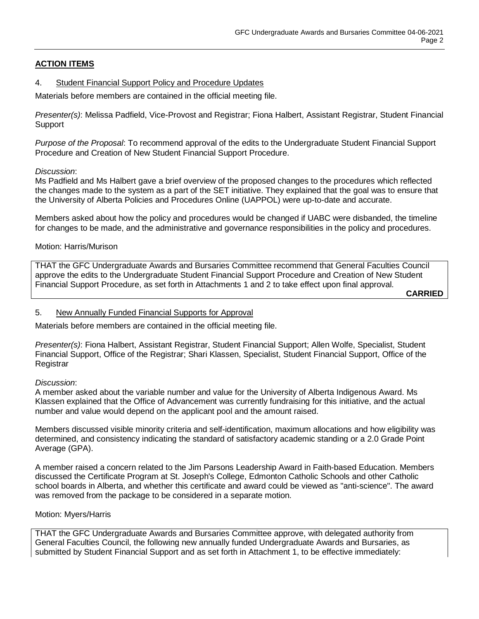# **ACTION ITEMS**

#### 4. Student Financial Support Policy and Procedure Updates

Materials before members are contained in the official meeting file.

*Presenter(s)*: Melissa Padfield, Vice-Provost and Registrar; Fiona Halbert, Assistant Registrar, Student Financial **Support** 

*Purpose of the Proposal*: To recommend approval of the edits to the Undergraduate Student Financial Support Procedure and Creation of New Student Financial Support Procedure.

#### *Discussion*:

Ms Padfield and Ms Halbert gave a brief overview of the proposed changes to the procedures which reflected the changes made to the system as a part of the SET initiative. They explained that the goal was to ensure that the University of Alberta Policies and Procedures Online (UAPPOL) were up-to-date and accurate.

Members asked about how the policy and procedures would be changed if UABC were disbanded, the timeline for changes to be made, and the administrative and governance responsibilities in the policy and procedures.

### Motion: Harris/Murison

THAT the GFC Undergraduate Awards and Bursaries Committee recommend that General Faculties Council approve the edits to the Undergraduate Student Financial Support Procedure and Creation of New Student Financial Support Procedure, as set forth in Attachments 1 and 2 to take effect upon final approval.

**CARRIED**

#### 5. New Annually Funded Financial Supports for Approval

Materials before members are contained in the official meeting file.

*Presenter(s)*: Fiona Halbert, Assistant Registrar, Student Financial Support; Allen Wolfe, Specialist, Student Financial Support, Office of the Registrar; Shari Klassen, Specialist, Student Financial Support, Office of the **Registrar** 

### *Discussion*:

A member asked about the variable number and value for the University of Alberta Indigenous Award. Ms Klassen explained that the Office of Advancement was currently fundraising for this initiative, and the actual number and value would depend on the applicant pool and the amount raised.

Members discussed visible minority criteria and self-identification, maximum allocations and how eligibility was determined, and consistency indicating the standard of satisfactory academic standing or a 2.0 Grade Point Average (GPA).

A member raised a concern related to the Jim Parsons Leadership Award in Faith-based Education. Members discussed the Certificate Program at St. Joseph's College, Edmonton Catholic Schools and other Catholic school boards in Alberta, and whether this certificate and award could be viewed as "anti-science". The award was removed from the package to be considered in a separate motion.

#### Motion: Myers/Harris

THAT the GFC Undergraduate Awards and Bursaries Committee approve, with delegated authority from General Faculties Council, the following new annually funded Undergraduate Awards and Bursaries, as submitted by Student Financial Support and as set forth in Attachment 1, to be effective immediately: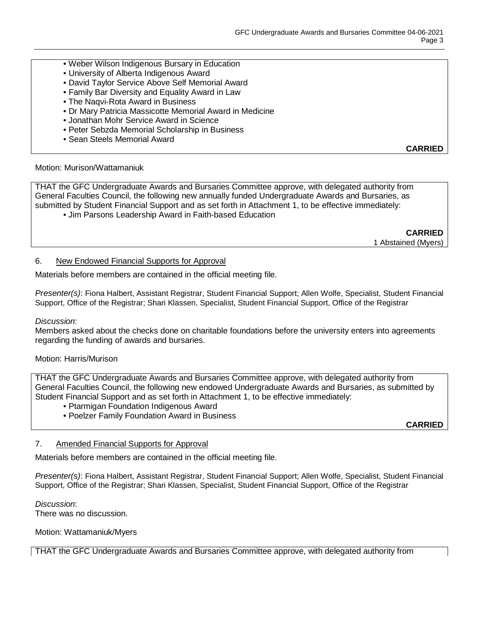- Weber Wilson Indigenous Bursary in Education
- University of Alberta Indigenous Award
- David Taylor Service Above Self Memorial Award
- Family Bar Diversity and Equality Award in Law
- The Naqvi-Rota Award in Business
- Dr Mary Patricia Massicotte Memorial Award in Medicine
- Jonathan Mohr Service Award in Science
- Peter Sebzda Memorial Scholarship in Business
- Sean Steels Memorial Award

### Motion: Murison/Wattamaniuk

THAT the GFC Undergraduate Awards and Bursaries Committee approve, with delegated authority from General Faculties Council, the following new annually funded Undergraduate Awards and Bursaries, as submitted by Student Financial Support and as set forth in Attachment 1, to be effective immediately:

• Jim Parsons Leadership Award in Faith-based Education

**CARRIED** 1 Abstained (Myers)

**CARRIED**

#### 6. New Endowed Financial Supports for Approval

Materials before members are contained in the official meeting file.

*Presenter(s)*: Fiona Halbert, Assistant Registrar, Student Financial Support; Allen Wolfe, Specialist, Student Financial Support, Office of the Registrar; Shari Klassen, Specialist, Student Financial Support, Office of the Registrar

#### *Discussion*:

Members asked about the checks done on charitable foundations before the university enters into agreements regarding the funding of awards and bursaries.

### Motion: Harris/Murison

THAT the GFC Undergraduate Awards and Bursaries Committee approve, with delegated authority from General Faculties Council, the following new endowed Undergraduate Awards and Bursaries, as submitted by Student Financial Support and as set forth in Attachment 1, to be effective immediately:

- Ptarmigan Foundation Indigenous Award
- Poelzer Family Foundation Award in Business

**CARRIED**

### 7. Amended Financial Supports for Approval

Materials before members are contained in the official meeting file.

*Presenter(s)*: Fiona Halbert, Assistant Registrar, Student Financial Support; Allen Wolfe, Specialist, Student Financial Support, Office of the Registrar; Shari Klassen, Specialist, Student Financial Support, Office of the Registrar

*Discussion*: There was no discussion.

Motion: Wattamaniuk/Myers

THAT the GFC Undergraduate Awards and Bursaries Committee approve, with delegated authority from